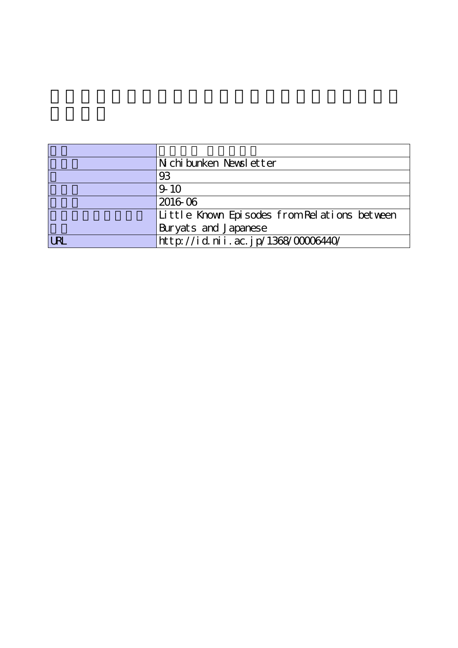|            | Nichibunken Newsletter                       |
|------------|----------------------------------------------|
|            | 93                                           |
|            | $9 - 10$                                     |
|            | 2016 06                                      |
|            | Little Known Episodes from Relations between |
|            | Buryats and Japanese                         |
| <b>URL</b> | http://id.nii.ac.jp/1368/00006440/           |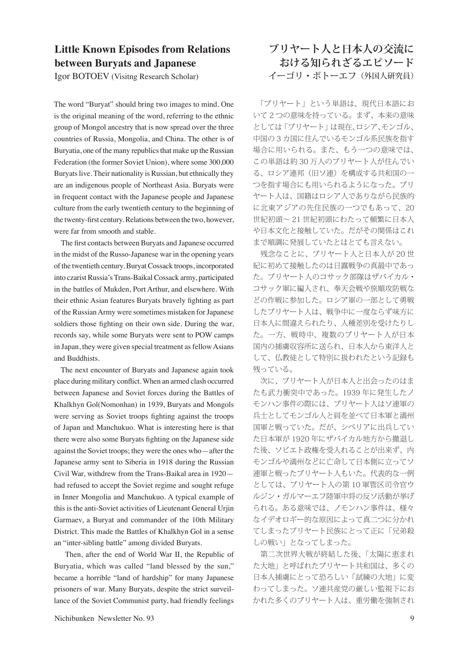## **Little Known Episodes from Relations between Buryats and Japanese**

Igor BOTOEV (Visitng Research Scholar)

The word "Buryat" should bring two images to mind. One is the original meaning of the word, referring to the ethnic group of Mongol ancestry that is now spread over the three countries of Russia, Mongolia, and China. The other is of Buryatia, one of the many republics that make up the Russian Federation (the former Soviet Union), where some 300,000 Buryats live. Their nationality is Russian, but ethnically they are an indigenous people of Northeast Asia. Buryats were in frequent contact with the Japanese people and Japanese culture from the early twentieth century to the beginning of the twenty-first century. Relations between the two, however, were far from smooth and stable.

 The first contacts between Buryats and Japanese occurred in the midst of the Russo-Japanese war in the opening years of the twentieth century. Buryat Cossack troops, incorporated into czarist Russia's Trans-Baikal Cossack army, participated in the battles of Mukden, Port Arthur, and elsewhere. With their ethnic Asian features Buryats bravely fighting as part of the Russian Army were sometimes mistaken for Japanese soldiers those fighting on their own side. During the war, records say, while some Buryats were sent to POW camps in Japan, they were given special treatment as fellow Asians and Buddhists.

 The next encounter of Buryats and Japanese again took place during military conflict. When an armed clash occurred between Japanese and Soviet forces during the Battles of Khalkhyn Gol(Nomonhan) in 1939, Buryats and Mongols were serving as Soviet troops fighting against the troops of Japan and Manchukuo. What is interesting here is that there were also some Buryats fighting on the Japanese side against the Soviet troops; they were the ones who—after the Japanese army sent to Siberia in 1918 during the Russian Civil War, withdrew from the Trans-Baikal area in 1920 had refused to accept the Soviet regime and sought refuge in Inner Mongolia and Manchukuo. A typical example of this is the anti-Soviet activities of Lieutenant General Urjin Garmaev, a Buryat and commander of the 10th Military District. This made the Battles of Khalkhyn Gol in a sense an "inter-sibling battle" among divided Buryats.

 Then, after the end of World War II, the Republic of Buryatia, which was called "land blessed by the sun," became a horrible "land of hardship" for many Japanese prisoners of war. Many Buryats, despite the strict surveillance of the Soviet Communist party, had friendly feelings

## **ブリヤート人と日本人の交流に おける知られざるエピソード** イーゴリ・ボトーエフ(外国人研究員)

 「ブリヤート」という単語は、現代日本語にお いて 2 つの意味を持っている。まず、本来の意味 としては「ブリヤート」は現在、ロシア、モンゴル、 中国の 3 カ国に住んでいるモンゴル系民族を指す 場合に用いられる。また、もう一つの意味では、 この単語は約 30 万人のブリヤート人が住んでい る、ロシア連邦(旧ソ連)を構成する共和国の一 つを指す場合にも用いられるようになった。ブリ ヤート人は、国籍はロシア人でありながら民族的 に北東アジアの先住民族の一つでもあって、20 世紀初頭~ 21 世紀初頭にわたって頻繁に日本人 や日本文化と接触していた。だがその関係はこれ まで順調に発展していたとはとても言えない。

 残念なことに、ブリヤート人と日本人が 20 世 紀に初めて接触したのは日露戦争の真最中であっ た。ブリヤート人のコサック部隊はザバイカル・ コサック軍に編入され、奉天会戦や旅順攻防戦な どの作戦に参加した。ロシア軍の一部として勇戦 したブリヤート人は、戦争中に一度ならず味方に 日本人に間違えられたり、人種差別を受けたりし た。一方、戦時中、複数のブリヤート人が日本 国内の捕虜収容所に送られ、日本人から東洋人と して、仏教徒として特別に扱われたという記録も 残っている。

 次に、ブリヤート人が日本人と出会ったのはま たも武力衝突中であった。1939 年に発生したノ モンハン事件の際には、ブリヤート人はソ連軍の 兵士としてモンゴル人と肩を並べて日本軍と満州 国軍と戦っていた。だが、シベリアに出兵してい た日本軍が 1920 年にザバイカル地方から撤退し た後、ソビエト政権を受入れることが出来ず、内 モンゴルや満州などに亡命して日本側に立ってソ 連軍と戦ったブリヤート人もいた。代表的な一例 としては、ブリヤート人の第 10 軍管区司令官ウ ルジン・ガルマーエフ陸軍中将の反ソ活動が挙げ られる。ある意味では、ノモンハン事件は、様々 なイデオロギー的な原因によって真二つに分かれ てしまったブリヤート民族にとって正に「兄弟殺 しの戦い」となってしまった。

 第二次世界大戦が終結した後、「太陽に恵まれ た大地」と呼ばれたブリヤート共和国は、多くの 日本人捕虜にとって恐ろしい「試練の大地」に変 わってしまった。ソ連共産党の厳しい監視下にお かれた多くのブリヤート人は、重労働を強制され